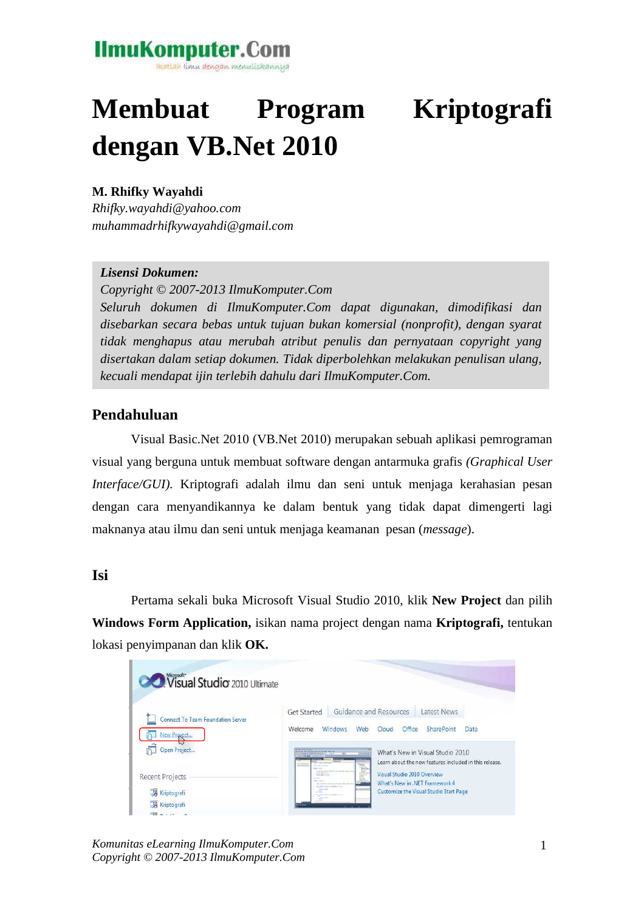### **IlmuKomputer.Com** katlah ilmu dengan menuliskannya

# **Membuat Program Kriptografi dengan VB.Net 2010**

#### **M. Rhifky Wayahdi**

*Rhifky.wayahdi@yahoo.com muhammadrhifkywayahdi@gmail.com* 

#### *Lisensi Dokumen:*

*Copyright © 2007-2013 IlmuKomputer.Com* 

*Seluruh dokumen di IlmuKomputer.Com dapat digunakan, dimodifikasi dan disebarkan secara bebas untuk tujuan bukan komersial (nonprofit), dengan syarat tidak menghapus atau merubah atribut penulis dan pernyataan copyright yang disertakan dalam setiap dokumen. Tidak diperbolehkan melakukan penulisan ulang, kecuali mendapat ijin terlebih dahulu dari IlmuKomputer.Com.*

#### **Pendahuluan**

Visual Basic.Net 2010 (VB.Net 2010) merupakan sebuah aplikasi pemrograman visual yang berguna untuk membuat software dengan antarmuka grafis *(Graphical User Interface/GUI).* Kriptografi adalah ilmu dan seni untuk menjaga kerahasian pesan dengan cara menyandikannya ke dalam bentuk yang tidak dapat dimengerti lagi maknanya atau ilmu dan seni untuk menjaga keamanan pesan (*message*).

#### **Isi**

Pertama sekali buka Microsoft Visual Studio 2010, klik **New Project** dan pilih **Windows Form Application,** isikan nama project dengan nama **Kriptografi,** tentukan lokasi penyimpanan dan klik **OK.** 

| <b>CO</b> Visual Studio 2010 Ultimate |                                                     |                                                                                            |                             |                                                        |      |
|---------------------------------------|-----------------------------------------------------|--------------------------------------------------------------------------------------------|-----------------------------|--------------------------------------------------------|------|
| Connect To Team Foundation Server     | Get Started                                         | Guidance and Resources                                                                     |                             | <b>Latest News</b>                                     |      |
| New Project                           | Welcome                                             | <b>Windows</b><br>Web                                                                      | Office<br>Cloud             | <b>SharePoint</b>                                      | Data |
| Open Project                          | AR A CRIP OF UPSIN THE C. LACT                      | <b>WELL</b>                                                                                |                             | What's New in Visual Studio 2010                       |      |
|                                       | <b>CANCING</b>                                      |                                                                                            |                             | Learn about the new features included in this release. |      |
| <b>Recent Projects</b>                | <b>STATE STATE</b><br><b><i><u>Property</u></i></b> | ţ.<br><b>Contractor</b> Service in the Service                                             | Visual Studio 2010 Overview |                                                        |      |
|                                       | The course                                          | a provided and the state way. And the role<br>the industry course are stronged in the case |                             | What's New in .NET Framework 4                         |      |
| Kriptografi                           | 258<br><b>Contract</b><br>$\sim$                    | <b>WE WERE THEY REPORTED</b>                                                               |                             | Customize the Visual Studio Start Page                 |      |
| Kriptografi                           | <br>---                                             |                                                                                            |                             |                                                        |      |
| $F[0]$ $n + 1$                        |                                                     |                                                                                            |                             |                                                        |      |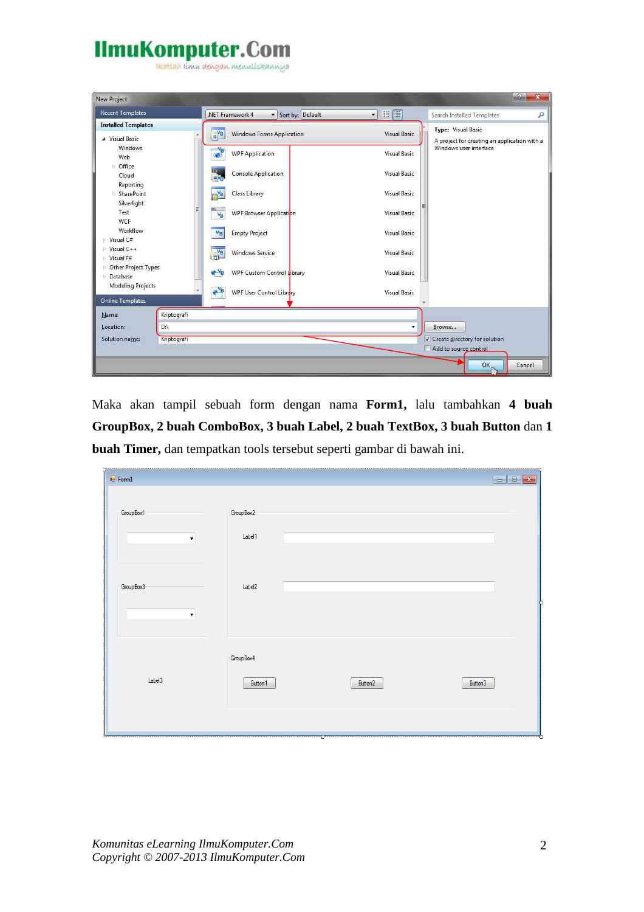reation i'mu dengan menuliskannya

| <b>Recent Templates</b>                                       | .NET Framework 4<br>Sort by: Default                                        | $\blacksquare$      | ٩<br>Search Installed Templates                                           |
|---------------------------------------------------------------|-----------------------------------------------------------------------------|---------------------|---------------------------------------------------------------------------|
| <b>Installed Templates</b><br>A Visual Basic                  | $\mathbf{E}^{\mathbf{V}_{\mathbf{B}}}$<br><b>Windows Forms Application</b>  | <b>Visual Basic</b> | <b>Type: Visual Basic</b><br>A project for creating an application with a |
| <b>Windows</b><br>Web                                         | $\overset{-V_{\tiny{\text{B}}}}{\longrightarrow}$<br><b>WPF Application</b> | <b>Visual Basic</b> | Windows user interface                                                    |
| <b><i>t</i></b> Office<br>Cloud                               | $\frac{a}{\Box}$<br><b>Console Application</b>                              | <b>Visual Basic</b> |                                                                           |
| Reporting<br><b>SharePoint</b><br>Silverlight                 | Class Library                                                               | <b>Visual Basic</b> |                                                                           |
| Test<br><b>WCF</b>                                            | 티<br>$\overline{\infty}$<br>WPF Browser Application<br>$V_{\rm B}$          | <b>Visual Basic</b> |                                                                           |
| Workflow<br>Visual C#                                         | <b>Empty Project</b><br>$V_B$                                               | <b>Visual Basic</b> |                                                                           |
| $V$ isual C++<br>$V$ isual F#                                 | $\frac{1}{12}$ <sup>VB</sup><br><b>Windows Service</b>                      | <b>Visual Basic</b> |                                                                           |
| <b>D</b> Other Project Types<br>Database<br>Modeling Projects | $-V_B$<br>WPF Custom Control Library                                        | Visual Basic        |                                                                           |
| <b>Online Templates</b>                                       | $\rightarrow$<br>WPF User Control Library                                   | Visual Basic        |                                                                           |
| Kriptografi<br>Name:                                          |                                                                             |                     |                                                                           |
| D:\<br>Location:                                              |                                                                             | ۰                   | Browse                                                                    |
| Solution name:<br>Kriptografi                                 |                                                                             |                     | √ Create directory for solution<br>Add to source control                  |

Maka akan tampil sebuah form dengan nama **Form1,** lalu tambahkan **4 buah GroupBox, 2 buah ComboBox, 3 buah Label, 2 buah TextBox, 3 buah Button** dan **1 buah Timer,** dan tempatkan tools tersebut seperti gambar di bawah ini.

| $\mathbf{e}_{\alpha}^{\square}$ Form1 |                        |         | $\Box$ ex |
|---------------------------------------|------------------------|---------|-----------|
| GroupBox1<br>$\blacktriangledown$     | Group Box 2<br>Label1  |         |           |
| Group Box 3<br>$\blacktriangledown$   | Label <sub>2</sub>     |         |           |
| Label3                                | Group Box 4<br>Button1 | Button2 | Button3   |
|                                       |                        | ۰œ      |           |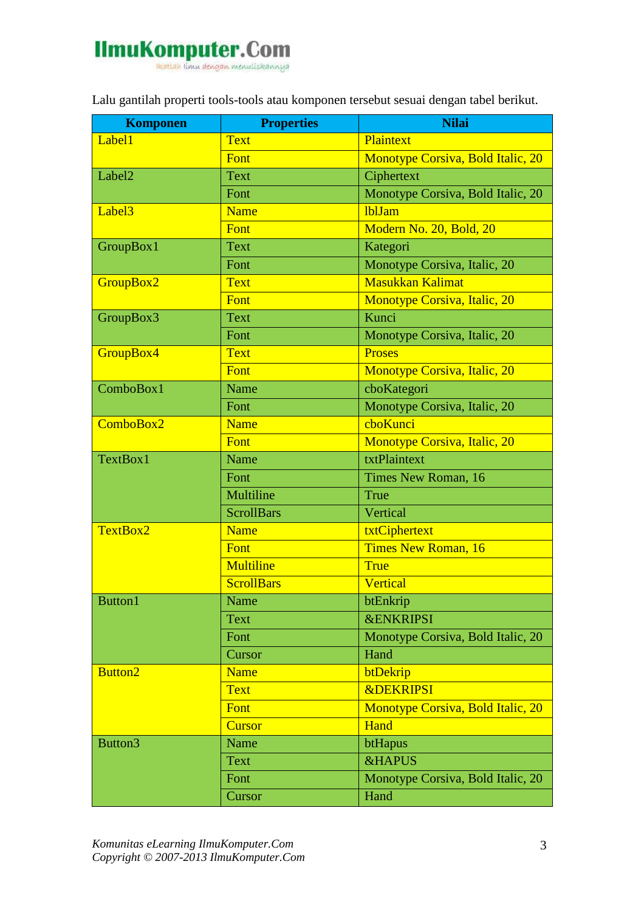

Lalu gantilah properti tools-tools atau komponen tersebut sesuai dengan tabel berikut.

| <b>Komponen</b>    | <b>Properties</b> | <b>Nilai</b>                      |
|--------------------|-------------------|-----------------------------------|
| Label1             | <b>Text</b>       | Plaintext                         |
|                    | Font              | Monotype Corsiva, Bold Italic, 20 |
| Label <sub>2</sub> | <b>Text</b>       | Ciphertext                        |
|                    | Font              | Monotype Corsiva, Bold Italic, 20 |
| Label <sub>3</sub> | <b>Name</b>       | <b>lblJam</b>                     |
|                    | Font              | Modern No. 20, Bold, 20           |
| GroupBox1          | <b>Text</b>       | Kategori                          |
|                    | Font              | Monotype Corsiva, Italic, 20      |
| GroupBox2          | <b>Text</b>       | <b>Masukkan Kalimat</b>           |
|                    | Font              | Monotype Corsiva, Italic, 20      |
| GroupBox3          | <b>Text</b>       | Kunci                             |
|                    | Font              | Monotype Corsiva, Italic, 20      |
| GroupBox4          | <b>Text</b>       | <b>Proses</b>                     |
|                    | Font              | Monotype Corsiva, Italic, 20      |
| ComboBox1          | Name              | cboKategori                       |
|                    | Font              | Monotype Corsiva, Italic, 20      |
| ComboBox2          | Name              | choKunci                          |
|                    | Font              | Monotype Corsiva, Italic, 20      |
| TextBox1           | Name              | txtPlaintext                      |
|                    | Font              | Times New Roman, 16               |
|                    | Multiline         | True                              |
|                    | <b>ScrollBars</b> | Vertical                          |
| TextBox2           | <b>Name</b>       | txtCiphertext                     |
|                    | Font              | Times New Roman, 16               |
|                    | <b>Multiline</b>  | <b>True</b>                       |
|                    | <b>ScrollBars</b> | Vertical                          |
| <b>Button1</b>     | Name              | btEnkrip                          |
|                    | <b>Text</b>       | <b>&amp;ENKRIPSI</b>              |
|                    | Font              | Monotype Corsiva, Bold Italic, 20 |
|                    | Cursor            | Hand                              |
| <b>Button2</b>     | <b>Name</b>       | btDekrip                          |
|                    | <b>Text</b>       | <b>&amp;DEKRIPSI</b>              |
|                    | Font              | Monotype Corsiva, Bold Italic, 20 |
|                    | <b>Cursor</b>     | Hand                              |
| Button3            | Name              | btHapus                           |
|                    | <b>Text</b>       | <b>&amp;HAPUS</b>                 |
|                    | Font              | Monotype Corsiva, Bold Italic, 20 |
|                    | Cursor            | Hand                              |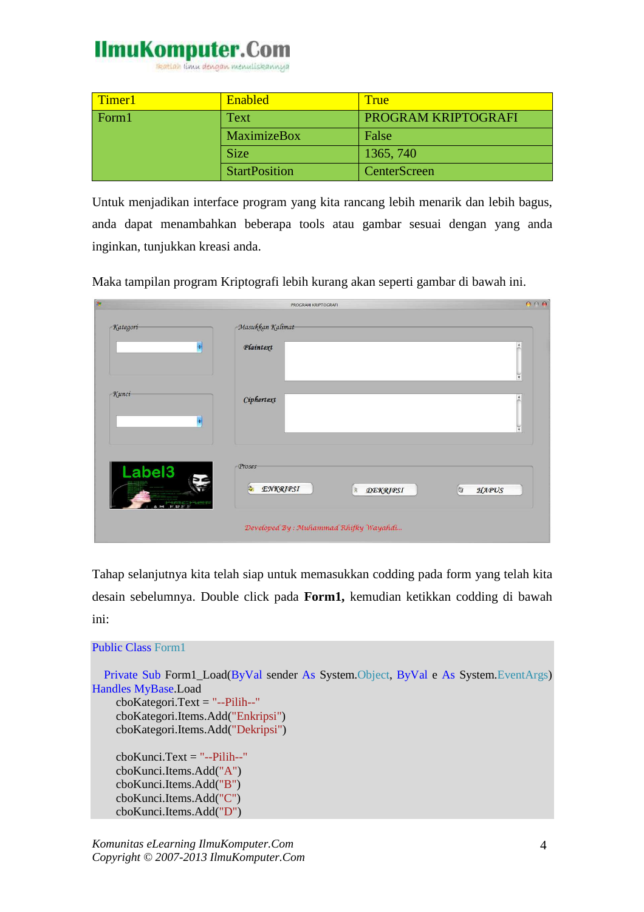reation timu dengan menuliskannya

| Timer1 | <b>Enabled</b>       | True                |
|--------|----------------------|---------------------|
| Form 1 | Text                 | PROGRAM KRIPTOGRAFI |
|        | MaximizeBox          | False               |
|        | <b>Size</b>          | 1365, 740           |
|        | <b>StartPosition</b> | <b>CenterScreen</b> |

Untuk menjadikan interface program yang kita rancang lebih menarik dan lebih bagus, anda dapat menambahkan beberapa tools atau gambar sesuai dengan yang anda inginkan, tunjukkan kreasi anda.

Maka tampilan program Kriptografi lebih kurang akan seperti gambar di bawah ini.

| $\overline{g}$                     | PROGRAM KRIPTOGRAFI                                                | 000                 |
|------------------------------------|--------------------------------------------------------------------|---------------------|
| -Kategori                          | -Masukkan Kalimat-                                                 |                     |
| $\left  \frac{1}{\lambda} \right $ | Plaintext                                                          | $\blacktriangle$    |
|                                    |                                                                    | $\widetilde{\star}$ |
| - Kunci                            | Ciphertext                                                         | $\blacktriangle$    |
| $\left  \mathbf{t} \right $        |                                                                    | ¥                   |
|                                    |                                                                    |                     |
| Label <sub>3</sub>                 | Proses                                                             |                     |
| HACHer                             | $\mathbb{R}$<br><b>ENKRIPSI</b><br>$\mathbb{R}$<br><b>DEKRIPSI</b> | $\circ$<br>HAPUS    |
|                                    | Developed By: Muhammad Rhifky Wayahdi                              |                     |

Tahap selanjutnya kita telah siap untuk memasukkan codding pada form yang telah kita desain sebelumnya. Double click pada **Form1,** kemudian ketikkan codding di bawah ini:

```
Public Class Form1
   Private Sub Form1_Load(ByVal sender As System.Object, ByVal e As System.EventArgs) 
Handles MyBase.Load 
     cboKategori.Text = "--Pilih--"
     cboKategori.Items.Add("Enkripsi") 
     cboKategori.Items.Add("Dekripsi") 
     cboKunci.Text = "--Pilih--"
     cboKunci.Items.Add("A") 
     cboKunci.Items.Add("B") 
     cboKunci.Items.Add("C") 
     cboKunci.Items.Add("D")
```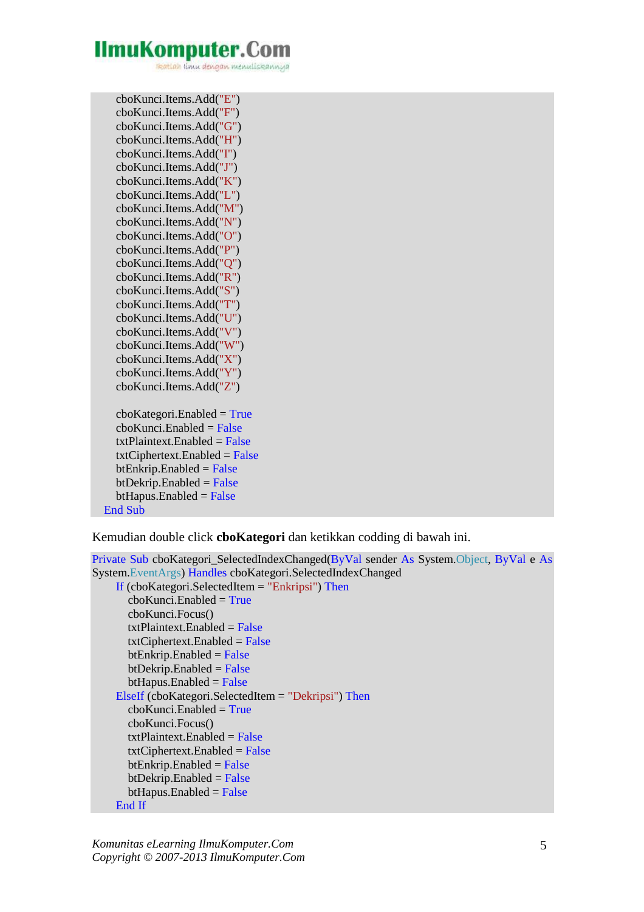reation timu dengan menuliskannya

 cboKunci.Items.Add("E") cboKunci.Items.Add("F") cboKunci.Items.Add("G") cboKunci.Items.Add("H") cboKunci.Items.Add("I") cboKunci.Items.Add("J") cboKunci.Items.Add("K") cboKunci.Items.Add("L") cboKunci.Items.Add("M") cboKunci.Items.Add("N") cboKunci.Items.Add("O") cboKunci.Items.Add("P") cboKunci.Items.Add("Q") cboKunci.Items.Add("R") cboKunci.Items.Add("S") cboKunci.Items.Add("T") cboKunci.Items.Add("U") cboKunci.Items.Add("V") cboKunci.Items.Add("W") cboKunci.Items.Add("X") cboKunci.Items.Add("Y") cboKunci.Items.Add("Z")  $cboKategori.Enabeled = True$  $cboKunci.Enabeled = False$  $txtPlaintext$  Enabled = False  $txtClientext.Enabeled = False$  $btEnkrip.Enabeled = False$  $btDekrip.Enabeled = False$  $btHapus.Enabeled = False$ End Sub

Kemudian double click **cboKategori** dan ketikkan codding di bawah ini.

```
Private Sub cboKategori_SelectedIndexChanged(ByVal sender As System.Object, ByVal e As
System.EventArgs) Handles cboKategori.SelectedIndexChanged 
     If (cboKategori.SelectedItem = "Enkripsi") Then
       cboKunci.Enabeled = True cboKunci.Focus() 
       txtPlaintext.Enabeled = FalsetxtClientext.Enabeled = FalsebtEnkrip.Enabeled = FalsebtDekrip.Enabeled = FalsebtHapus.Enabeled = False ElseIf (cboKategori.SelectedItem = "Dekripsi") Then
       cboKunci.Enabeled = True cboKunci.Focus() 
       txtPlaintext.Enabeled = False txtCiphertext.Enabled = False
       btEnkrip.Enabeled = FalsebtDekrip.Enabeled = FalsebtHapus.Enabeled = False
```

```
 End If
```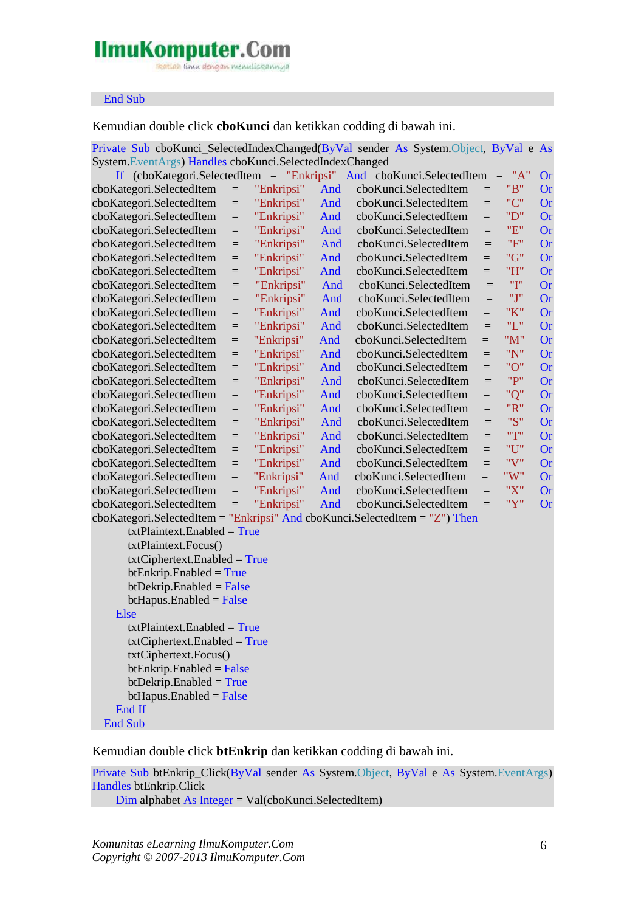reation timu dengan menuliskannya

#### End Sub

Kemudian double click **cboKunci** dan ketikkan codding di bawah ini.

| Private Sub cboKunci_SelectedIndexChanged(ByVal sender As System.Object, ByVal e As |            |            |     |                                                                                                 |                 |                 |                 |
|-------------------------------------------------------------------------------------|------------|------------|-----|-------------------------------------------------------------------------------------------------|-----------------|-----------------|-----------------|
| System.EventArgs) Handles cboKunci.SelectedIndexChanged                             |            |            |     |                                                                                                 |                 | "A"             |                 |
|                                                                                     |            | "Enkripsi" | And | If $(cboKategori.SelectedItem = "Enkripsi" And cobKunci.SelectedItem)$<br>cboKunci.SelectedItem |                 | $\equiv$<br>"B" | Or<br><b>Or</b> |
| cboKategori.SelectedItem<br>cboKategori.SelectedItem                                | $=$<br>$=$ | "Enkripsi" | And | cboKunci.SelectedItem                                                                           | $\equiv$<br>$=$ | "C"             | <b>Or</b>       |
| cboKategori.SelectedItem                                                            | $=$        | "Enkripsi" | And | cboKunci.SelectedItem                                                                           | $=$             | "D"             | <b>Or</b>       |
| cboKategori.SelectedItem                                                            | $=$        | "Enkripsi" | And | cboKunci.SelectedItem                                                                           | $=$             | "E"             | <b>Or</b>       |
| cboKategori.SelectedItem                                                            | $=$        | "Enkripsi" | And | cboKunci.SelectedItem                                                                           | $=$             | "F"             | <b>Or</b>       |
| cboKategori.SelectedItem                                                            | $=$        | "Enkripsi" | And | cboKunci.SelectedItem                                                                           | $=$             | "G"             | <b>Or</b>       |
| cboKategori.SelectedItem                                                            | $=$        | "Enkripsi" | And | cboKunci.SelectedItem                                                                           | $=$             | "H"             | <b>Or</b>       |
| cboKategori.SelectedItem                                                            | $=$        | "Enkripsi" | And | cboKunci.SelectedItem                                                                           | $=$             | "I"             | <b>Or</b>       |
| cboKategori.SelectedItem                                                            | $=$        | "Enkripsi" | And | cboKunci.SelectedItem                                                                           | $=$             | "J"             | <b>Or</b>       |
| cboKategori.SelectedItem                                                            | $=$        | "Enkripsi" | And | cboKunci.SelectedItem                                                                           | $=$             | "K"             | <b>Or</b>       |
| cboKategori.SelectedItem                                                            | $=$        | "Enkripsi" | And | cboKunci.SelectedItem                                                                           | $=$             | "L"             | <b>Or</b>       |
| cboKategori.SelectedItem                                                            | $=$        | "Enkripsi" | And | cboKunci.SelectedItem                                                                           | $=$             | "M"             | <b>Or</b>       |
| cboKategori.SelectedItem                                                            | $=$        | "Enkripsi" | And | cboKunci.SelectedItem                                                                           | $=$             | "N"             | <b>Or</b>       |
| cboKategori.SelectedItem                                                            | $=$        | "Enkripsi" | And | cboKunci.SelectedItem                                                                           | $=$             | "O"             | <b>Or</b>       |
| cboKategori.SelectedItem                                                            | $=$        | "Enkripsi" | And | cboKunci.SelectedItem                                                                           | $=$             | "P"             | <b>Or</b>       |
| cboKategori.SelectedItem                                                            | $=$        | "Enkripsi" | And | cboKunci.SelectedItem                                                                           | $=$             | "Q"             | <b>Or</b>       |
| cboKategori.SelectedItem                                                            | $=$        | "Enkripsi" | And | cboKunci.SelectedItem                                                                           | $=$             | "R"             | <b>Or</b>       |
| cboKategori.SelectedItem                                                            | $=$        | "Enkripsi" | And | cboKunci.SelectedItem                                                                           | $=$             | "S"             | <b>Or</b>       |
| cboKategori.SelectedItem                                                            | $=$        | "Enkripsi" | And | cboKunci.SelectedItem                                                                           | $=$             | "T"             | <b>Or</b>       |
| cboKategori.SelectedItem                                                            | $=$        | "Enkripsi" | And | cboKunci.SelectedItem                                                                           | $=$             | "U"             | <b>Or</b>       |
| cboKategori.SelectedItem                                                            | $=$        | "Enkripsi" | And | cboKunci.SelectedItem                                                                           | $=$             | "V"             | <b>Or</b>       |
| cboKategori.SelectedItem                                                            | $=$        | "Enkripsi" | And | cboKunci.SelectedItem                                                                           | $=$             | "W"             | <b>Or</b>       |
| cboKategori.SelectedItem                                                            | $=$        | "Enkripsi" | And | cboKunci.SelectedItem                                                                           | $=$             | "X"             | <b>Or</b>       |
| cboKategori.SelectedItem                                                            | $=$        | "Enkripsi" | And | cboKunci.SelectedItem                                                                           | $=$             | "Y"             | <b>Or</b>       |
| cboKategori.SelectedItem = "Enkripsi" And cboKunci.SelectedItem = "Z") Then         |            |            |     |                                                                                                 |                 |                 |                 |
| $txtPlaintext.Enabeled = True$                                                      |            |            |     |                                                                                                 |                 |                 |                 |
| txtPlaintext.Focus()                                                                |            |            |     |                                                                                                 |                 |                 |                 |
| $txtCiphertext. Enabled = True$                                                     |            |            |     |                                                                                                 |                 |                 |                 |
| $btEnkrip.Enabeled = True$                                                          |            |            |     |                                                                                                 |                 |                 |                 |
| $btDekrip.Enabeled = False$                                                         |            |            |     |                                                                                                 |                 |                 |                 |
| $btHapus.Enabeled = False$                                                          |            |            |     |                                                                                                 |                 |                 |                 |
| Else                                                                                |            |            |     |                                                                                                 |                 |                 |                 |
| $txtPlaintext.Enabeled = True$                                                      |            |            |     |                                                                                                 |                 |                 |                 |
| $txtCiphertext. Enabeled = True$                                                    |            |            |     |                                                                                                 |                 |                 |                 |
| txtCiphertext.Focus()                                                               |            |            |     |                                                                                                 |                 |                 |                 |
| $btEnkrip.Enabeled = False$                                                         |            |            |     |                                                                                                 |                 |                 |                 |
| $btDekrip.Enabeled = True$                                                          |            |            |     |                                                                                                 |                 |                 |                 |
| $btHapus.Enabeled = False$                                                          |            |            |     |                                                                                                 |                 |                 |                 |
| End If                                                                              |            |            |     |                                                                                                 |                 |                 |                 |
| <b>End Sub</b>                                                                      |            |            |     |                                                                                                 |                 |                 |                 |

Kemudian double click **btEnkrip** dan ketikkan codding di bawah ini.

Private Sub btEnkrip\_Click(ByVal sender As System.Object, ByVal e As System.EventArgs) Handles btEnkrip.Click

Dim alphabet As Integer = Val(cboKunci.SelectedItem)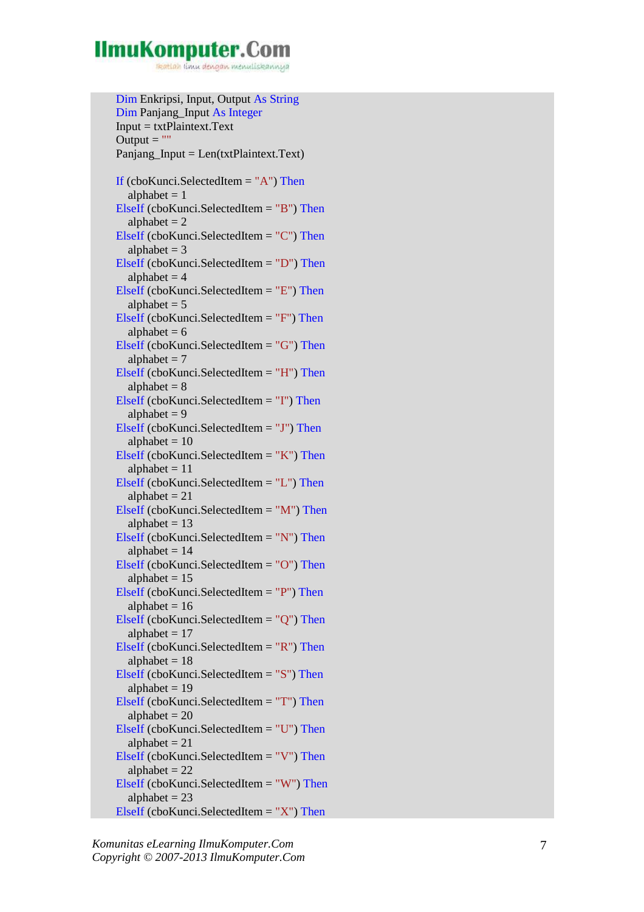reation timu dengan menuliskannya

 Dim Enkripsi, Input, Output As String Dim Panjang\_Input As Integer  $Input = txtPlaintext.Text$ Output  $=$  "" Panjang\_Input = Len(txtPlaintext.Text) If (cboKunci.SelectedItem = "A") Then alphabet  $= 1$  ElseIf (cboKunci.SelectedItem = "B") Then alphabet  $= 2$  ElseIf (cboKunci.SelectedItem = "C") Then alphabet  $= 3$  ElseIf (cboKunci.SelectedItem = "D") Then alphabet  $= 4$  ElseIf (cboKunci.SelectedItem = "E") Then alphabet  $= 5$  ElseIf (cboKunci.SelectedItem = "F") Then alphabet  $= 6$  ElseIf (cboKunci.SelectedItem = "G") Then alphabet  $= 7$  ElseIf (cboKunci.SelectedItem = "H") Then alphabet  $= 8$  ElseIf (cboKunci.SelectedItem = "I") Then alphabet  $= 9$  ElseIf (cboKunci.SelectedItem = "J") Then alphabet  $= 10$  ElseIf (cboKunci.SelectedItem = "K") Then alphabet  $= 11$  ElseIf (cboKunci.SelectedItem = "L") Then alphabet  $= 21$  ElseIf (cboKunci.SelectedItem = "M") Then alphabet  $= 13$  ElseIf (cboKunci.SelectedItem = "N") Then alphabet  $= 14$  ElseIf (cboKunci.SelectedItem = "O") Then alphabet  $= 15$  ElseIf (cboKunci.SelectedItem = "P") Then alphabet  $= 16$  ElseIf (cboKunci.SelectedItem = "Q") Then alphabet  $= 17$  ElseIf (cboKunci.SelectedItem = "R") Then alphabet  $= 18$  ElseIf (cboKunci.SelectedItem = "S") Then alphabet  $= 19$  ElseIf (cboKunci.SelectedItem = "T") Then alphabet  $= 20$  ElseIf (cboKunci.SelectedItem = "U") Then alphabet  $= 21$  ElseIf (cboKunci.SelectedItem = "V") Then alphabet  $= 22$  ElseIf (cboKunci.SelectedItem = "W") Then alphabet  $= 23$ ElseIf (cboKunci.SelectedItem  $=$  "X") Then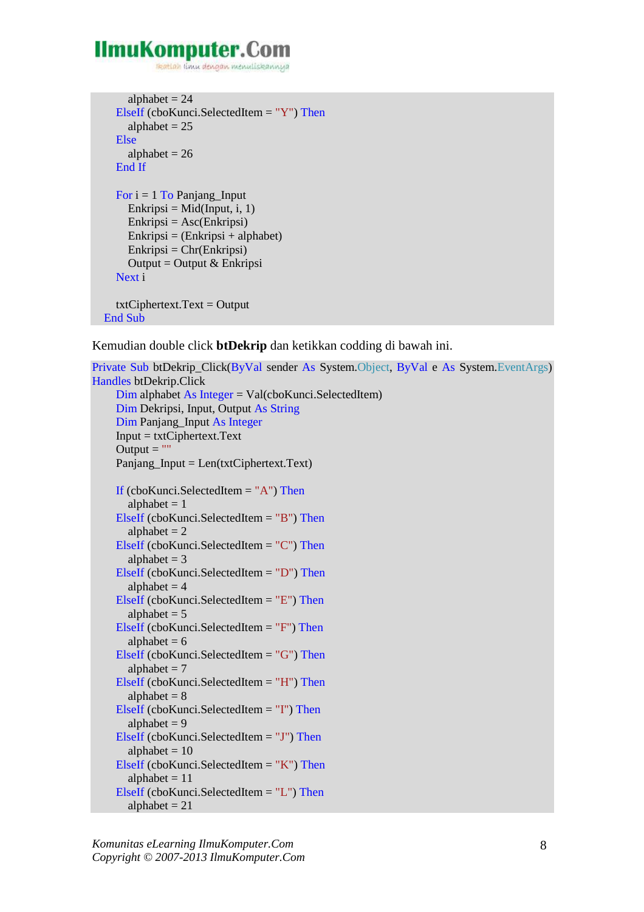reation imu dengan menuliskannya

```
alphabet = 24 ElseIf (cboKunci.SelectedItem = "Y") Then
    alphabet = 25 Else
    alphabet = 26 End If
  For i = 1 To Panjang_Input
    Enkripsi = Mid(Input, i, 1)Enkripsi = Asc(Enkripsi)Enkripsi = (Enkripsi + alphabet)Enkripsi = Chr(Enkripsi)Output = Output & Enkripsi Next i 
  txtClientext.Text = Output End Sub
```
Kemudian double click **btDekrip** dan ketikkan codding di bawah ini.

```
Private Sub btDekrip_Click(ByVal sender As System.Object, ByVal e As System.EventArgs) 
Handles btDekrip.Click 
      Dim alphabet As Integer = Val(cboKunci.SelectedItem) 
      Dim Dekripsi, Input, Output As String
      Dim Panjang_Input As Integer
      Input = txtCiphertext.Text 
     Output = ""
      Panjang_Input = Len(txtCiphertext.Text) 
    If (cboKunci.SelectedItem = "A") Then
       alphabet = 1 ElseIf (cboKunci.SelectedItem = "B") Then
       alphabet = 2 ElseIf (cboKunci.SelectedItem = "C") Then
       alphabet = 3 ElseIf (cboKunci.SelectedItem = "D") Then
       alphabet = 4 ElseIf (cboKunci.SelectedItem = "E") Then
       alphabet = 5 ElseIf (cboKunci.SelectedItem = "F") Then
       alphabet = 6 ElseIf (cboKunci.SelectedItem = "G") Then
       alphabet = 7 ElseIf (cboKunci.SelectedItem = "H") Then
       alphabet = 8 ElseIf (cboKunci.SelectedItem = "I") Then
       alphabet = 9 ElseIf (cboKunci.SelectedItem = "J") Then
       alphabet = 10 ElseIf (cboKunci.SelectedItem = "K") Then
       alphabet = 11 ElseIf (cboKunci.SelectedItem = "L") Then
       alphabet = 21
```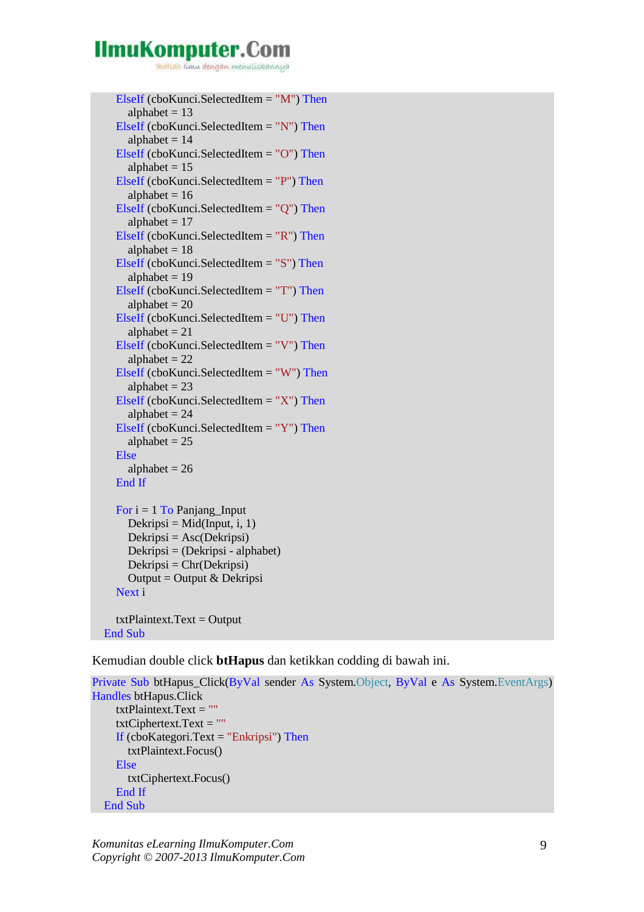reation timu dengan menuliskannya

```
 ElseIf (cboKunci.SelectedItem = "M") Then
  alphabet = 13 ElseIf (cboKunci.SelectedItem = "N") Then
  alphabet = 14 ElseIf (cboKunci.SelectedItem = "O") Then
  alphabet = 15 ElseIf (cboKunci.SelectedItem = "P") Then
  alphabet = 16 ElseIf (cboKunci.SelectedItem = "Q") Then
  alphabet = 17 ElseIf (cboKunci.SelectedItem = "R") Then
  alphabet = 18 ElseIf (cboKunci.SelectedItem = "S") Then
  alphabet = 19 ElseIf (cboKunci.SelectedItem = "T") Then
  alphabet = 20 ElseIf (cboKunci.SelectedItem = "U") Then
  alphabet = 21 ElseIf (cboKunci.SelectedItem = "V") Then
  alphabet = 22 ElseIf (cboKunci.SelectedItem = "W") Then
  alphabet = 23ElseIf (cboKunci.SelectedItem = "X") Then
  alphabet = 24 ElseIf (cboKunci.SelectedItem = "Y") Then
  alphabet = 25 Else
  alphabet = 26 End If
For i = 1 To Panjang Input
  Dekripsi = Mid(Input, i, 1)Dekripsi = <math>Asc(Dekripsi) Dekripsi = (Dekripsi - alphabet) 
  Dekripsi = Chr(Dekripsi)Output = Output & Dekripsi
 Next i 
txtPlaintext.Text = Output
```
End Sub

Kemudian double click **btHapus** dan ketikkan codding di bawah ini.

```
Private Sub btHapus_Click(ByVal sender As System.Object, ByVal e As System.EventArgs) 
Handles btHapus.Click 
      txtPlaintext.Text = ""
      txtCiphertext.Text = ""
     If (cboKategori.Text = "Enkripsi") Then txtPlaintext.Focus() 
      Else
        txtCiphertext.Focus() 
      End If
   End Sub
```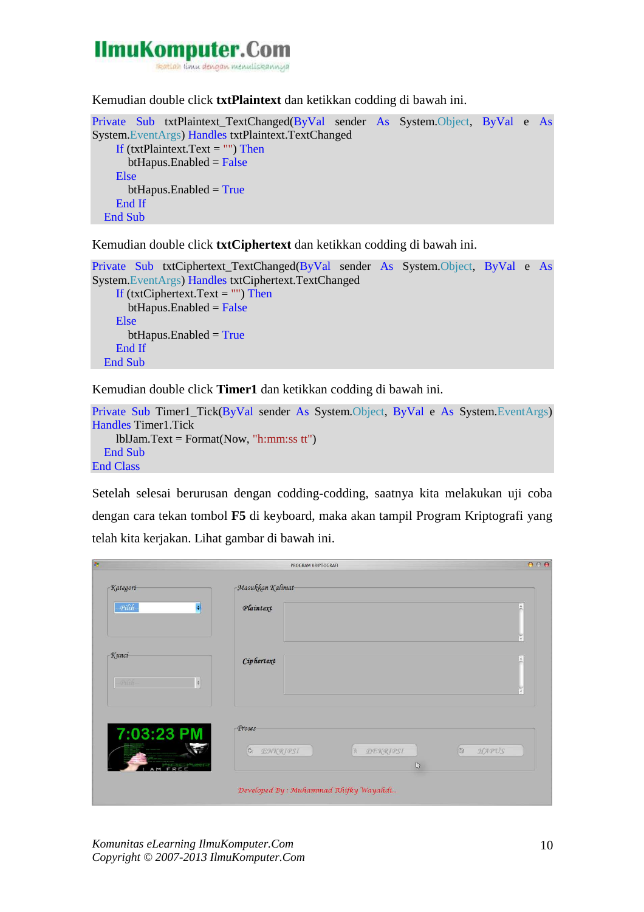

Kemudian double click **txtPlaintext** dan ketikkan codding di bawah ini.

```
Private Sub txtPlaintext_TextChanged(ByVal sender As System.Object, ByVal e As
System.EventArgs) Handles txtPlaintext.TextChanged 
    If (txtPlaintext.Text = "") Then
      btHapus.Enabeled = False Else
      btHapus.Enabeled = True End If
   End Sub
```
Kemudian double click **txtCiphertext** dan ketikkan codding di bawah ini.

```
Private Sub txtCiphertext_TextChanged(ByVal sender As System.Object, ByVal e As
System.EventArgs) Handles txtCiphertext.TextChanged 
    If (txtCiphertext.Text = "") Then
      btHapus.Enabled = False
     Else
      btHapus.Enabeled = True End If
   End Sub
```
Kemudian double click **Timer1** dan ketikkan codding di bawah ini.

```
Private Sub Timer1_Tick(ByVal sender As System.Object, ByVal e As System.EventArgs) 
Handles Timer1.Tick 
     lblJam.Text = Format(Now, "h:mm:ss tt") 
   End Sub 
End Class
```
Setelah selesai berurusan dengan codding-codding, saatnya kita melakukan uji coba dengan cara tekan tombol **F5** di keyboard, maka akan tampil Program Kriptografi yang telah kita kerjakan. Lihat gambar di bawah ini.

| $B_{\rm C}$               | PROGRAM KRIPTOGRAFI                               | 000                                                                                                                                                                                                                                                                                                                                                          |
|---------------------------|---------------------------------------------------|--------------------------------------------------------------------------------------------------------------------------------------------------------------------------------------------------------------------------------------------------------------------------------------------------------------------------------------------------------------|
| $-Kategori$               | Masukkan Kalimat                                  |                                                                                                                                                                                                                                                                                                                                                              |
| Pilih-<br>H               | Plaintext                                         |                                                                                                                                                                                                                                                                                                                                                              |
|                           |                                                   | F                                                                                                                                                                                                                                                                                                                                                            |
| $-K$ unci                 | Ciphertext                                        | A                                                                                                                                                                                                                                                                                                                                                            |
| $Pilih-$<br>$\frac{1}{2}$ |                                                   | ¥                                                                                                                                                                                                                                                                                                                                                            |
| 7:03:23 PM                | -Proses-                                          |                                                                                                                                                                                                                                                                                                                                                              |
|                           | $\mathbb{Q}$<br>ENKRIPSI<br><b>DEKRIPSI</b><br>R. | $\begin{picture}(120,20) \put(0,0){\line(1,0){10}} \put(15,0){\line(1,0){10}} \put(15,0){\line(1,0){10}} \put(15,0){\line(1,0){10}} \put(15,0){\line(1,0){10}} \put(15,0){\line(1,0){10}} \put(15,0){\line(1,0){10}} \put(15,0){\line(1,0){10}} \put(15,0){\line(1,0){10}} \put(15,0){\line(1,0){10}} \put(15,0){\line(1,0){10}} \put(15,0){\line($<br>HAPUS |
| REFARED                   | $\mathbb D$                                       |                                                                                                                                                                                                                                                                                                                                                              |
|                           | Developed By: Muhammad Rhifky Wayahdi             |                                                                                                                                                                                                                                                                                                                                                              |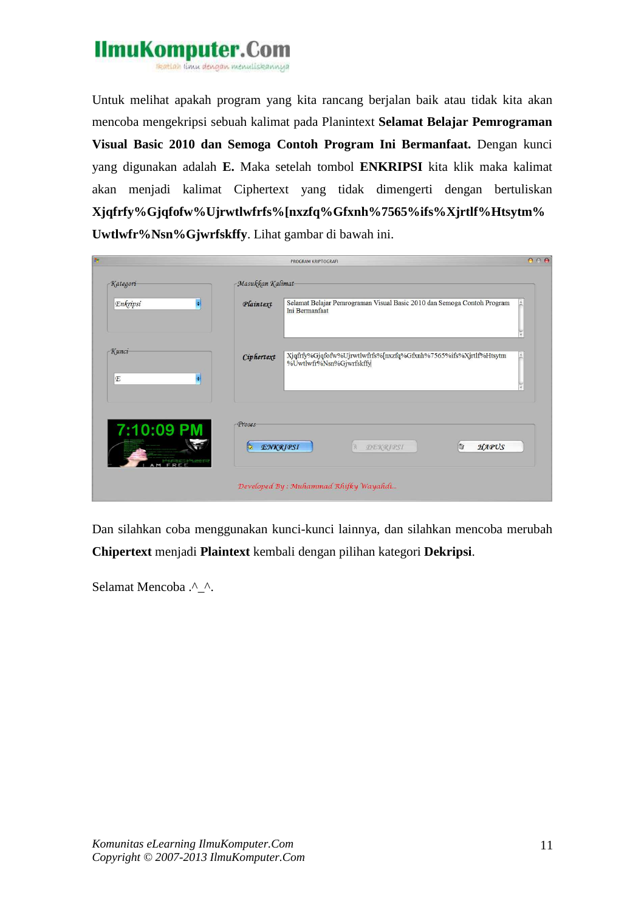

Untuk melihat apakah program yang kita rancang berjalan baik atau tidak kita akan mencoba mengekripsi sebuah kalimat pada Planintext **Selamat Belajar Pemrograman Visual Basic 2010 dan Semoga Contoh Program Ini Bermanfaat.** Dengan kunci yang digunakan adalah **E.** Maka setelah tombol **ENKRIPSI** kita klik maka kalimat akan menjadi kalimat Ciphertext yang tidak dimengerti dengan bertuliskan **Xjqfrfy%Gjqfofw%Ujrwtlwfrfs%[nxzfq%Gfxnh%7565%ifs%Xjrtlf%Htsytm% Uwtlwfr%Nsn%Gjwrfskffy**. Lihat gambar di bawah ini.

| B <sub>2</sub>      |                                  | PROGRAM KRIPTOGRAFI                                                                        | 000 |
|---------------------|----------------------------------|--------------------------------------------------------------------------------------------|-----|
| $-Kategori$         | -Masukkan Kalimat-               |                                                                                            |     |
| Enkripsi<br>H       | Plaintext                        | Selamat Belajar Pemrograman Visual Basic 2010 dan Semoga Contoh Program<br>Ini Bermanfaat  |     |
|                     |                                  |                                                                                            |     |
| $-K$ unci<br>E<br>F | Ciphertext                       | Xjqfrfy%Gjqfofw%Ujrwtlwfrfs%[nxzfq%Gfxnh%7565%ifs%Xjrtlf%Htsytm<br>%Uwtlwfr%Nsn%Gjwrfskffy | A   |
| 7:10:09 PM          | -Proses-<br><b>ENKRIPSI</b><br>授 | $\circ$<br>HAPUS<br>DEKRIPSI                                                               |     |
|                     |                                  | Developed By: Muhammad Rhifky Wayahdi                                                      |     |

Dan silahkan coba menggunakan kunci-kunci lainnya, dan silahkan mencoba merubah **Chipertext** menjadi **Plaintext** kembali dengan pilihan kategori **Dekripsi**.

Selamat Mencoba .^\_^.